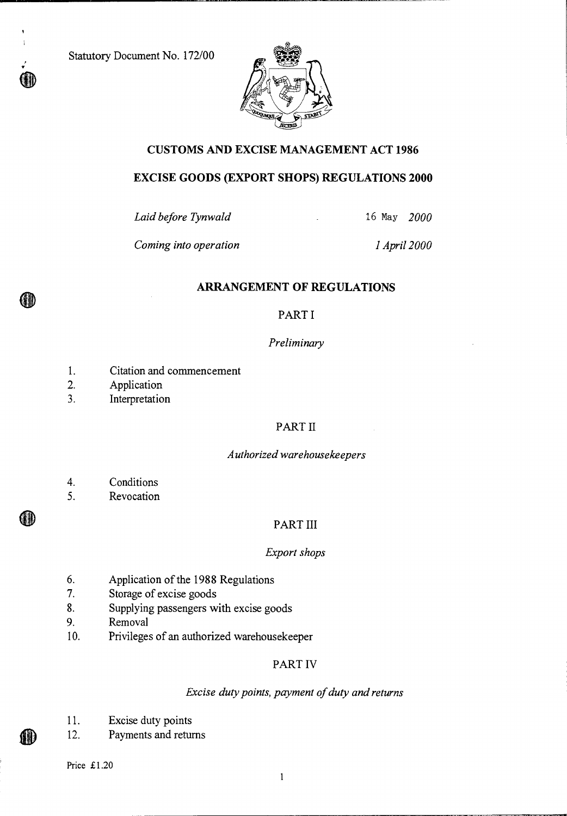Statutory Document No. 172/00



## **CUSTOMS AND EXCISE MANAGEMENT ACT 1986**

## **EXCISE GOODS (EXPORT SHOPS) REGULATIONS 2000**

*Laid before Tynwald 16* May *2000* 

*Coming into operation 1 April 2000* 

## **ARRANGEMENT OF REGULATIONS**

## PART I

#### *Preliminary*

- 1. Citation and commencement
- 2. Application

QID

GD

(11)

3. Interpretation

## PART II

#### *Authorized warehousekeepers*

- 4. Conditions
- 5. Revocation

## PART III

#### *Export shops*

- 6. Application of the 1988 Regulations
- 7. Storage of excise goods
- 8. Supplying passengers with excise goods
- 9. Removal
- 10. Privileges of an authorized warehousekeeper

## PART IV

#### *Excise duty points, payment of duty and returns*

- 11. Excise duty points
- 12. Payments and returns

Price £1.20

 $\mathbf{1}$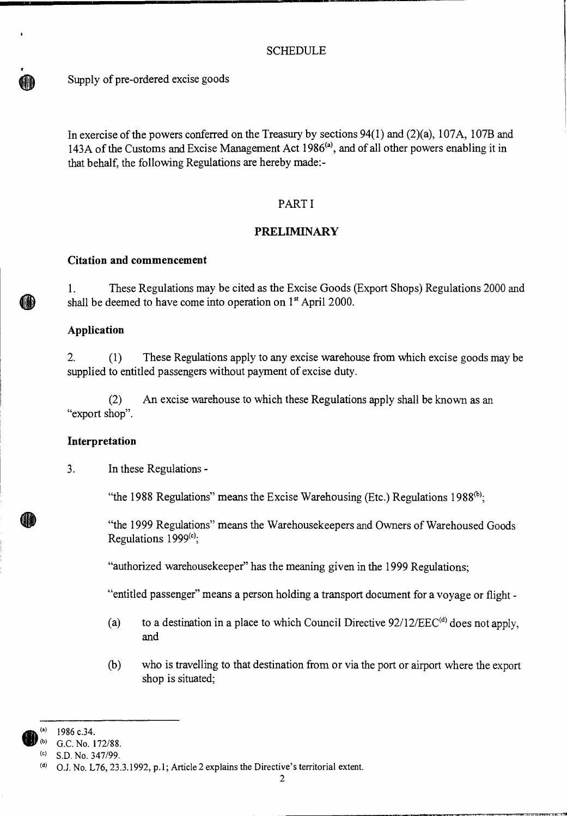## **SCHEDULE**

Supply of pre-ordered excise goods

In exercise of the powers conferred on the Treasury by sections 94(1) and (2)(a), 107A, 107B and 143A of the Customs and Excise Management Act  $1986^{(a)}$ , and of all other powers enabling it in that behalf, the following Regulations are hereby made:-

## PART I

## **PRELIMINARY**

#### **Citation and commencement**

1. These Regulations may be cited as the Excise Goods (Export Shops) Regulations 2000 and shall be deemed to have come into operation on  $1<sup>st</sup>$  April 2000.

#### **Application**

2. (1) These Regulations apply to any excise warehouse from which excise goods may be supplied to entitled passengers without payment of excise duty.

(2) An excise warehouse to which these Regulations apply shall be known as an "export shop".

#### **Interpretation**

3. In these Regulations -

"the 1988 Regulations" means the Excise Warehousing (Etc.) Regulations 1988 $^{(b)}$ ;

"the 1999 Regulations" means the Warehousekeepers and Owners of Warehoused Goods Regulations 1999(c);

"authorized warehousekeeper" has the meaning given in the 1999 Regulations;

"entitled passenger" means a person holding a transport document for a voyage or flight -

- (a) to a destination in a place to which Council Directive  $92/12/EEC^{(d)}$  does not apply, and
- (b) who is travelling to that destination from or via the port or airport where the export shop is situated;

<sup>1986</sup> c.34.

<sup>(</sup>b) G.C. No. 172/88.

 $(C)$  S.D. No. 347/99.

<sup>(</sup>d) O.J. No. L76, 23.3.1992, p.1; Article 2 explains the Directive's territorial extent.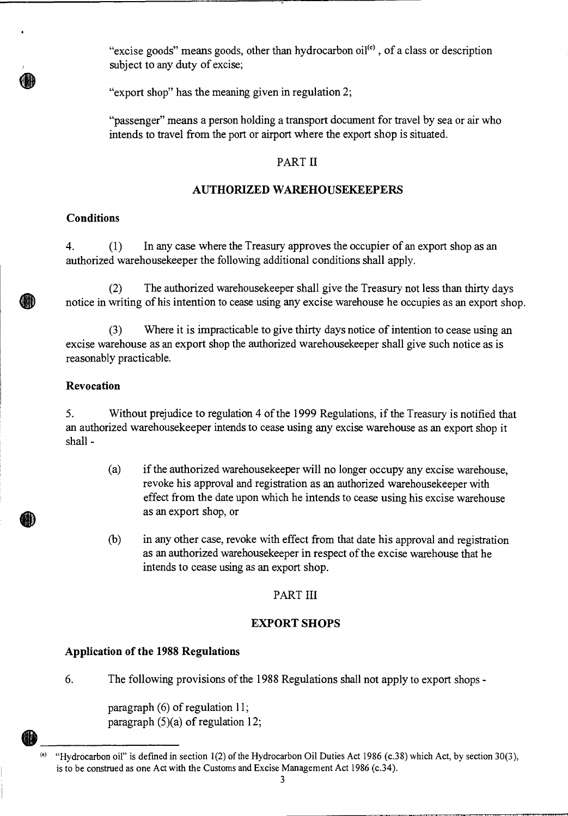"excise goods" means goods, other than hydrocarbon  $\text{oil}^{(e)}$ , of a class or description subject to any duty of excise;

"export shop" has the meaning given in regulation 2;

"passenger" means a person holding a transport document for travel by sea or air who intends to travel from the port or airport where the export shop is situated.

#### PART II

## **AUTHORIZED WAREHOUSEKEEPERS**

## **Conditions**

4. (1) In any case where the Treasury approves the occupier of an export shop as an authorized warehousekeeper the following additional conditions shall apply.

(2) The authorized warehousekeeper shall give the Treasury not less than thirty days notice in writing of his intention to cease using any excise warehouse he occupies as an export shop.

(3) Where it is impracticable to give thirty days notice of intention to cease using an excise warehouse as an export shop the authorized warehousekeeper shall give such notice as is reasonably practicable.

#### **Revocation**

5. Without prejudice to regulation 4 of the 1999 Regulations, if the Treasury is notified that an authorized warehousekeeper intends to cease using any excise warehouse as an export shop it shall -

- (a) if the authorized warehousekeeper will no longer occupy any excise warehouse, revoke his approval and registration as an authorized warehousekeeper with effect from the date upon which he intends to cease using his excise warehouse as an export shop, or
- (b) in any other case, revoke with effect from that date his approval and registration as an authorized warehousekeeper in respect of the excise warehouse that he intends to cease using as an export shop.

## PART III

#### **EXPORT SHOPS**

### **Application of the 1988 Regulations**

6. The following provisions of the 1988 Regulations shall not apply to export shops -

paragraph (6) of regulation 11; paragraph  $(5)(a)$  of regulation 12;

<sup>(</sup>e) "Hydrocarbon oil" is defined in section 1(2) of the Hydrocarbon Oil Duties Act 1986 (c.38) which Act, by section 30(3), is to be construed as one Act with the Customs and Excise Management Act 1986 (c.34).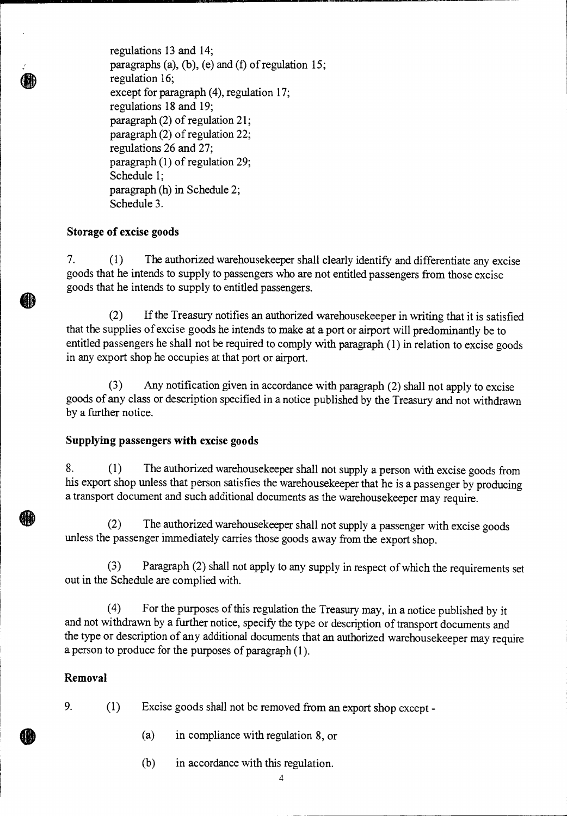regulations 13 and 14; paragraphs (a), (b), (e) and (f) of regulation 15; regulation 16; except for paragraph (4), regulation 17; regulations 18 and 19; paragraph (2) of regulation 21; paragraph (2) of regulation 22; regulations 26 and 27; paragraph (1) of regulation 29; Schedule 1; paragraph (h) in Schedule 2; Schedule 3.

## **Storage of excise goods**

7. (1) The authorized warehousekeeper shall clearly identify and differentiate any excise goods that he intends to supply to passengers who are not entitled passengers from those excise goods that he intends to supply to entitled passengers.

(2) If the Treasury notifies an authorized warehousekeeper in writing that it is satisfied that the supplies of excise goods he intends to make at a port or airport will predominantly be to entitled passengers he shall not be required to comply with paragraph (1) in relation to excise goods in any export shop he occupies at that port or airport.

(3) Any notification given in accordance with paragraph (2) shall not apply to excise goods of any class or description specified in a notice published by the Treasury and not withdrawn by a further notice.

## **Supplying passengers with excise goods**

8. (1) The authorized warehousekeeper shall not supply a person with excise goods from his export shop unless that person satisfies the warehousekeeper that he is a passenger by producing a transport document and such additional documents as the warehousekeeper may require.

(2) The authorized warehousekeeper shall not supply a passenger with excise goods unless the passenger immediately carries those goods away from the export shop.

(3) Paragraph (2) shall not apply to any supply in respect of which the requirements set out in the Schedule are complied with.

(4) For the purposes of this regulation the Treasury may, in a notice published by it and not withdrawn by a further notice, specify the type or description of transport documents and the type or description of any additional documents that an authorized warehousekeeper may require a person to produce for the purposes of paragraph (1).

## **Removal**

- 9. (1) Excise goods shall not be removed from an export shop except
	- (a) in compliance with regulation 8, or
	- (b) in accordance with this regulation.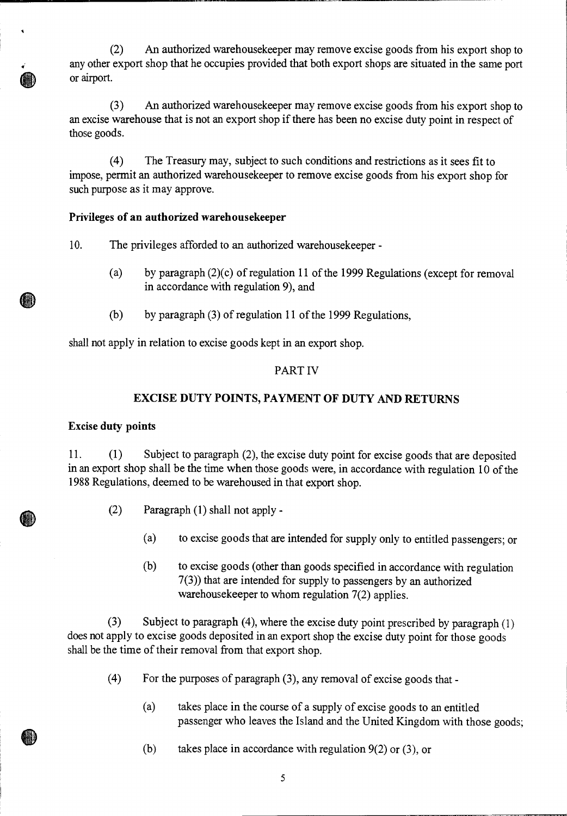(2) An authorized warehousekeeper may remove excise goods from his export shop to any other export shop that he occupies provided that both export shops are situated in the same port or airport.

(3) An authorized warehousekeeper may remove excise goods from his export shop to an excise warehouse that is not an export shop if there has been no excise duty point in respect of those goods.

(4) The Treasury may, subject to such conditions and restrictions as it sees fit to impose, permit an authorized warehousekeeper to remove excise goods from his export shop for such purpose as it may approve.

#### **Privileges of an authorized warehousekeeper**

10. The privileges afforded to an authorized warehousekeeper -

- (a) by paragraph (2)(c) of regulation 11 of the 1999 Regulations (except for removal in accordance with regulation 9), and
- (b) by paragraph (3) of regulation 11 of the 1999 Regulations,

shall not apply in relation to excise goods kept in an export shop.

#### PART IV

## **EXCISE DUTY POINTS, PAYMENT OF DUTY AND RETURNS**

#### **Excise duty points**

HI)

11. (1) Subject to paragraph (2), the excise duty point for excise goods that are deposited in an export shop shall be the time when those goods were, in accordance with regulation 10 of the 1988 Regulations, deemed to be warehoused in that export shop.

- (2) Paragraph (1) shall not apply
	- (a) to excise goods that are intended for supply only to entitled passengers; or
	- (b) to excise goods (other than goods specified in accordance with regulation 7(3)) that are intended for supply to passengers by an authorized warehousekeeper to whom regulation 7(2) applies.

(3) Subject to paragraph (4), where the excise duty point prescribed by paragraph (1) does not apply to excise goods deposited in an export shop the excise duty point for those goods shall be the time of their removal from that export shop.

- (4) For the purposes of paragraph (3), any removal of excise goods that
	- (a) takes place in the course of a supply of excise goods to an entitled passenger who leaves the Island and the United Kingdom with those goods;
	- (b) takes place in accordance with regulation  $9(2)$  or  $(3)$ , or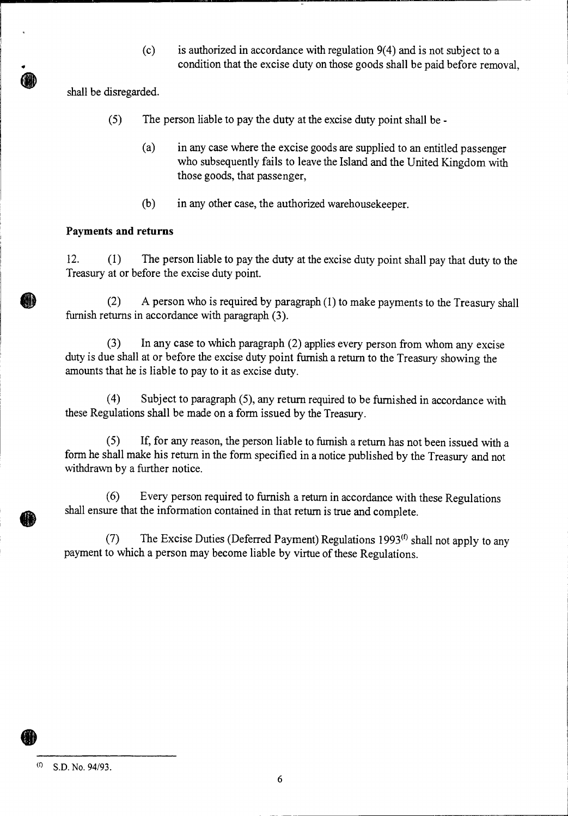(c) is authorized in accordance with regulation 9(4) and is not subject to a condition that the excise duty on those goods shall be paid before removal,

shall be disregarded.

- (5) The person liable to pay the duty at the excise duty point shall be
	- (a) in any case where the excise goods are supplied to an entitled passenger who subsequently fails to leave the Island and the United Kingdom with those goods, that passenger,
	- (b) in any other case, the authorized warehousekeeper.

# **Payments and returns**

12. (1) The person liable to pay the duty at the excise duty point shall pay that duty to the Treasury at or before the excise duty point.

(2) A person who is required by paragraph (1) to make payments to the Treasury shall furnish returns in accordance with paragraph (3).

(3) In any case to which paragraph (2) applies every person from whom any excise duty is due shall at or before the excise duty point furnish a return to the Treasury showing the amounts that he is liable to pay to it as excise duty.

(4) Subject to paragraph (5), any return required to be furnished in accordance with these Regulations shall be made on a form issued by the Treasury.

(5) If, for any reason, the person liable to furnish a return has not been issued with a form he shall make his return in the form specified in a notice published by the Treasury and not withdrawn by a further notice.

(6) Every person required to furnish a return in accordance with these Regulations shall ensure that the information contained in that return is true and complete.

(7) The Excise Duties (Deferred Payment) Regulations 1993 $^{(f)}$  shall not apply to any payment to which a person may become liable by virtue of these Regulations.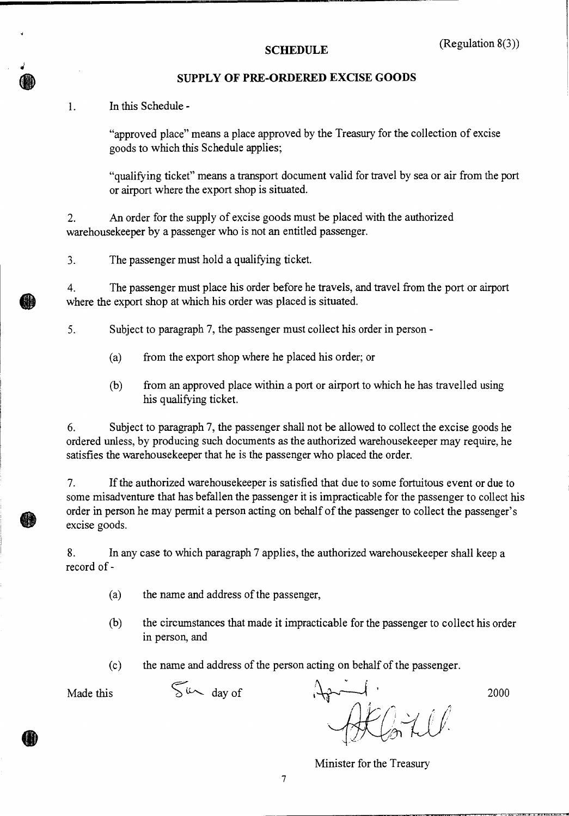## **SUPPLY OF PRE-ORDERED EXCISE GOODS**

**1.** In this Schedule -

"approved place" means a place approved by the Treasury for the collection of excise goods to which this Schedule applies;

"qualifying ticket" means a transport document valid for travel by sea or air from the port or airport where the export shop is situated.

2. An order for the supply of excise goods must be placed with the authorized warehousekeeper by a passenger who is not an entitled passenger.

3. The passenger must hold a qualifying ticket.

4. The passenger must place his order before he travels, and travel from the port or airport where the export shop at which his order was placed is situated.

5. Subject to paragraph 7, the passenger must collect his order in person -

- (a) from the export shop where he placed his order; or
- (b) from an approved place within a port or airport to which he has travelled using his qualifying ticket.

6. Subject to paragraph 7, the passenger shall not be allowed to collect the excise goods he ordered unless, by producing such documents as the authorized warehousekeeper may require, he satisfies the warehousekeeper that he is the passenger who placed the order.

7. If the authorized warehousekeeper is satisfied that due to some fortuitous event or due to some misadventure that has befallen the passenger it is impracticable for the passenger to collect his order in person he may permit a person acting on behalf of the passenger to collect the passenger's excise goods.

8. In any case to which paragraph 7 applies, the authorized warehousekeeper shall keep a record of -

- (a) the name and address of the passenger,
- (b) the circumstances that made it impracticable for the passenger to collect his order in person, and

(c) the name and address of the person acting on behalf of the passenger.

Made this  $\sum_{\mu}$  day of  $\lambda_{\mu}$   $\lambda_{\mu}$  2000

Minister for the Treasury